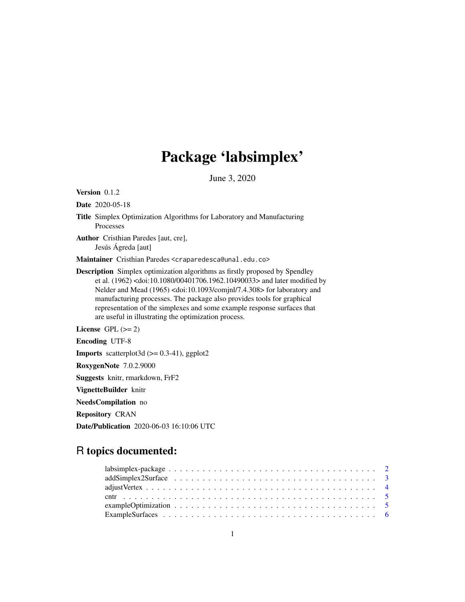# Package 'labsimplex'

June 3, 2020

<span id="page-0-0"></span>Version 0.1.2

Date 2020-05-18

Title Simplex Optimization Algorithms for Laboratory and Manufacturing Processes

Author Cristhian Paredes [aut, cre], Jesús Ágreda [aut]

Maintainer Cristhian Paredes <craparedesca@unal.edu.co>

Description Simplex optimization algorithms as firstly proposed by Spendley et al. (1962) <doi:10.1080/00401706.1962.10490033> and later modified by Nelder and Mead (1965) <doi:10.1093/comjnl/7.4.308> for laboratory and manufacturing processes. The package also provides tools for graphical representation of the simplexes and some example response surfaces that are useful in illustrating the optimization process.

License GPL  $(>= 2)$ 

Encoding UTF-8

**Imports** scatterplot3d  $(>= 0.3-41)$ , ggplot2

RoxygenNote 7.0.2.9000

Suggests knitr, rmarkdown, FrF2

VignetteBuilder knitr

NeedsCompilation no

Repository CRAN

Date/Publication 2020-06-03 16:10:06 UTC

# R topics documented: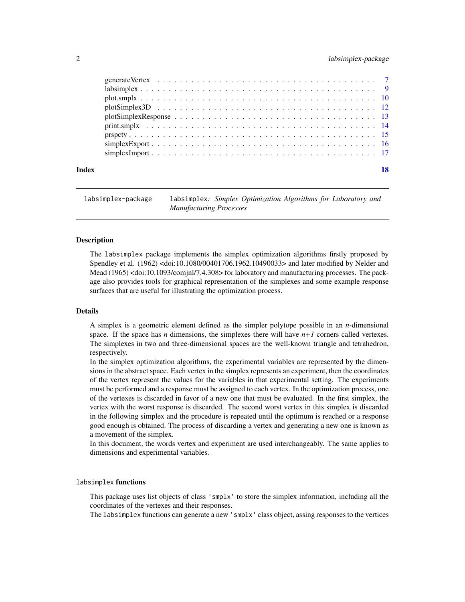# <span id="page-1-0"></span>2 labsimplex-package

| Index | 18 |
|-------|----|
|       |    |
|       |    |
|       |    |
|       |    |
|       |    |
|       |    |
|       |    |
|       |    |
|       |    |

labsimplex-package labsimplex*: Simplex Optimization Algorithms for Laboratory and Manufacturing Processes*

#### **Description**

The labsimplex package implements the simplex optimization algorithms firstly proposed by Spendley et al. (1962) <doi:10.1080/00401706.1962.10490033> and later modified by Nelder and Mead (1965) <doi:10.1093/comjnl/7.4.308> for laboratory and manufacturing processes. The package also provides tools for graphical representation of the simplexes and some example response surfaces that are useful for illustrating the optimization process.

#### Details

A simplex is a geometric element defined as the simpler polytope possible in an *n*-dimensional space. If the space has  $n$  dimensions, the simplexes there will have  $n+1$  corners called vertexes. The simplexes in two and three-dimensional spaces are the well-known triangle and tetrahedron, respectively.

In the simplex optimization algorithms, the experimental variables are represented by the dimensions in the abstract space. Each vertex in the simplex represents an experiment, then the coordinates of the vertex represent the values for the variables in that experimental setting. The experiments must be performed and a response must be assigned to each vertex. In the optimization process, one of the vertexes is discarded in favor of a new one that must be evaluated. In the first simplex, the vertex with the worst response is discarded. The second worst vertex in this simplex is discarded in the following simplex and the procedure is repeated until the optimum is reached or a response good enough is obtained. The process of discarding a vertex and generating a new one is known as a movement of the simplex.

In this document, the words vertex and experiment are used interchangeably. The same applies to dimensions and experimental variables.

#### labsimplex functions

This package uses list objects of class 'smplx' to store the simplex information, including all the coordinates of the vertexes and their responses.

The labsimplex functions can generate a new 'smplx' class object, assing responses to the vertices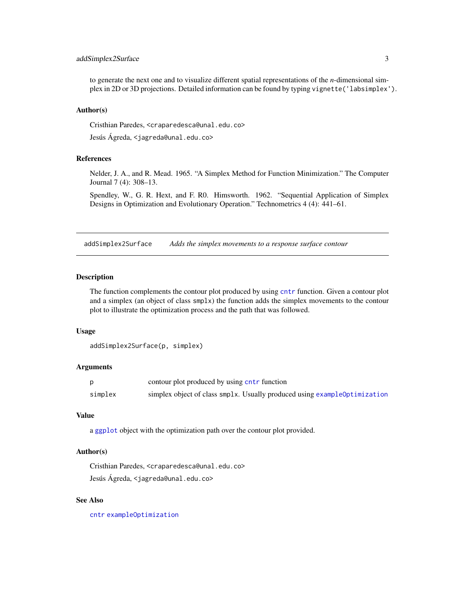# <span id="page-2-0"></span>addSimplex2Surface 3

to generate the next one and to visualize different spatial representations of the *n*-dimensional simplex in 2D or 3D projections. Detailed information can be found by typing vignette('labsimplex').

#### Author(s)

Cristhian Paredes, <craparedesca@unal.edu.co>

Jesús Ágreda, <jagreda@unal.edu.co>

# References

Nelder, J. A., and R. Mead. 1965. "A Simplex Method for Function Minimization." The Computer Journal 7 (4): 308–13.

Spendley, W., G. R. Hext, and F. R0. Himsworth. 1962. "Sequential Application of Simplex Designs in Optimization and Evolutionary Operation." Technometrics 4 (4): 441–61.

addSimplex2Surface *Adds the simplex movements to a response surface contour*

#### **Description**

The function complements the contour plot produced by using [cntr](#page-4-1) function. Given a contour plot and a simplex (an object of class smplx) the function adds the simplex movements to the contour plot to illustrate the optimization process and the path that was followed.

#### Usage

```
addSimplex2Surface(p, simplex)
```
# Arguments

|         | contour plot produced by using cntr function                              |
|---------|---------------------------------------------------------------------------|
| simplex | simplex object of class smplx. Usually produced using example0ptimization |

#### Value

a [ggplot](#page-0-0) object with the optimization path over the contour plot provided.

# Author(s)

Cristhian Paredes, <craparedesca@unal.edu.co> Jesús Ágreda, <jagreda@unal.edu.co>

# See Also

[cntr](#page-4-1) [exampleOptimization](#page-4-2)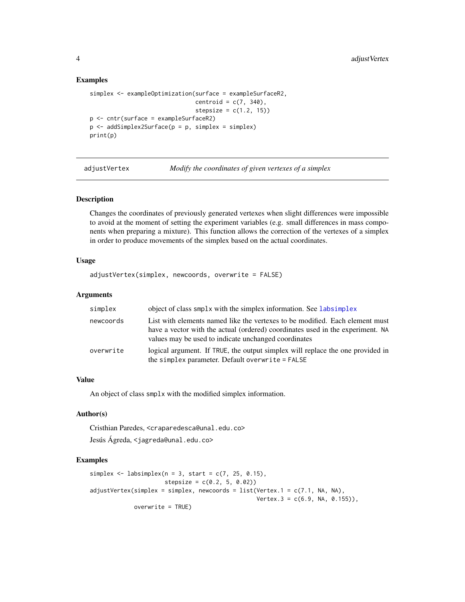#### Examples

```
simplex <- exampleOptimization(surface = exampleSurfaceR2,
                               centroid = c(7, 340),
                                stepsize = c(1.2, 15))
p <- cntr(surface = exampleSurfaceR2)
p \le - addSimplex2Surface(p = p, simplex = simplex)
print(p)
```
adjustVertex *Modify the coordinates of given vertexes of a simplex*

#### Description

Changes the coordinates of previously generated vertexes when slight differences were impossible to avoid at the moment of setting the experiment variables (e.g. small differences in mass components when preparing a mixture). This function allows the correction of the vertexes of a simplex in order to produce movements of the simplex based on the actual coordinates.

#### Usage

```
adjustVertex(simplex, newcoords, overwrite = FALSE)
```
#### Arguments

| simplex   | object of class smplx with the simplex information. See labsimplex                                                                                                                                                     |
|-----------|------------------------------------------------------------------------------------------------------------------------------------------------------------------------------------------------------------------------|
| newcoords | List with elements named like the vertexes to be modified. Each element must<br>have a vector with the actual (ordered) coordinates used in the experiment. NA<br>values may be used to indicate unchanged coordinates |
| overwrite | logical argument. If TRUE, the output simplex will replace the one provided in<br>the simplex parameter. Default overwrite = FALSE                                                                                     |

#### Value

An object of class smplx with the modified simplex information.

# Author(s)

Cristhian Paredes, <craparedesca@unal.edu.co>

Jesús Ágreda, <jagreda@unal.edu.co>

```
simplex \leq labsimplex(n = 3, start = c(7, 25, 0.15),
                     stepsize = c(0.2, 5, 0.02)adjustVertex(simplex = simplex, newcoords = list(Vertex.1 = c(7.1, NA, NA),
                                                Vertex.3 = c(6.9, NA, 0.155),
            overwrite = TRUE)
```
<span id="page-3-0"></span>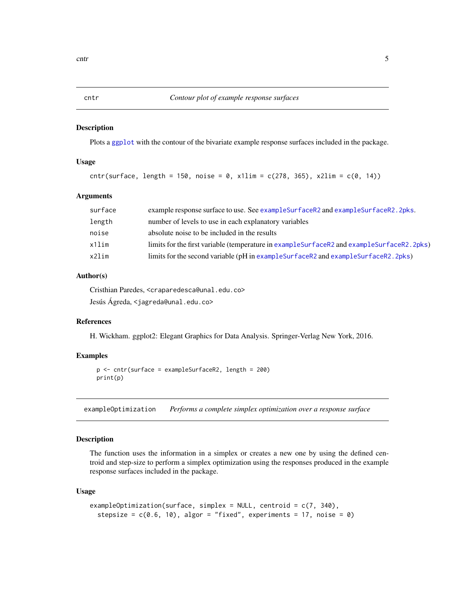<span id="page-4-1"></span><span id="page-4-0"></span>

Plots a [ggplot](#page-0-0) with the contour of the bivariate example response surfaces included in the package.

# Usage

cntr(surface, length = 150, noise = 0,  $x1\lim = c(278, 365)$ ,  $x2\lim = c(0, 14)$ )

#### Arguments

| surface  | example response surface to use. See example SurfaceR2 and example SurfaceR2.2pks.            |
|----------|-----------------------------------------------------------------------------------------------|
| length   | number of levels to use in each explanatory variables                                         |
| noise    | absolute noise to be included in the results                                                  |
| $x11$ im | limits for the first variable (temperature in example Surface R2 and example Surface R2.2pks) |
| x2lim    | limits for the second variable (pH in example Surface R2 and example Surface R2. 2pks)        |

# Author(s)

Cristhian Paredes, <craparedesca@unal.edu.co> Jesús Ágreda, <jagreda@unal.edu.co>

# References

H. Wickham. ggplot2: Elegant Graphics for Data Analysis. Springer-Verlag New York, 2016.

# Examples

```
p <- cntr(surface = exampleSurfaceR2, length = 200)
print(p)
```
<span id="page-4-2"></span>exampleOptimization *Performs a complete simplex optimization over a response surface*

# Description

The function uses the information in a simplex or creates a new one by using the defined centroid and step-size to perform a simplex optimization using the responses produced in the example response surfaces included in the package.

#### Usage

```
exampleOptimization(surface, simplex = NULL, centroid = c(7, 340),
  stepsize = c(0.6, 10), algor = "fixed", experiments = 17, noise = 0)
```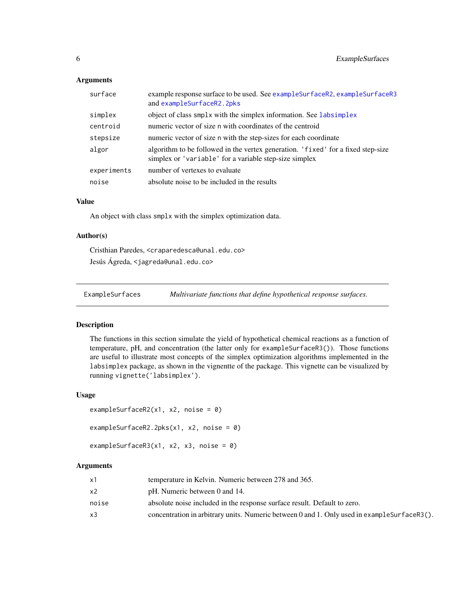#### <span id="page-5-0"></span>Arguments

| surface     | example response surface to be used. See example SurfaceR2, example SurfaceR3<br>and exampleSurfaceR2.2pks                                 |
|-------------|--------------------------------------------------------------------------------------------------------------------------------------------|
| simplex     | object of class smplx with the simplex information. See labsimplex                                                                         |
| centroid    | numeric vector of size n with coordinates of the centroid                                                                                  |
| stepsize    | numeric vector of size n with the step-sizes for each coordinate                                                                           |
| algor       | algorithm to be followed in the vertex generation. 'fixed' for a fixed step-size<br>simplex or 'variable' for a variable step-size simplex |
| experiments | number of vertexes to evaluate                                                                                                             |
| noise       | absolute noise to be included in the results                                                                                               |

# Value

An object with class smplx with the simplex optimization data.

#### Author(s)

Cristhian Paredes, <craparedesca@unal.edu.co> Jesús Ágreda, <jagreda@unal.edu.co>

ExampleSurfaces *Multivariate functions that define hypothetical response surfaces.*

#### <span id="page-5-1"></span>Description

The functions in this section simulate the yield of hypothetical chemical reactions as a function of temperature, pH, and concentration (the latter only for exampleSurfaceR3()). Those functions are useful to illustrate most concepts of the simplex optimization algorithms implemented in the labsimplex package, as shown in the vignentte of the package. This vignette can be visualized by running vignette('labsimplex').

#### Usage

```
exampleSurfaceR2(x1, x2, noise = \theta)
exampleSurfaceR2.2pks(x1, x2, noise = 0)
exampleSurfaceR3(x1, x2, x3, noise = \theta)
```
#### Arguments

| x1    | temperature in Kelvin. Numeric between 278 and 365.                                          |
|-------|----------------------------------------------------------------------------------------------|
| x2    | pH. Numeric between 0 and 14.                                                                |
| noise | absolute noise included in the response surface result. Default to zero.                     |
| x3    | concentration in arbitrary units. Numeric between 0 and 1. Only used in example SurfaceR3(). |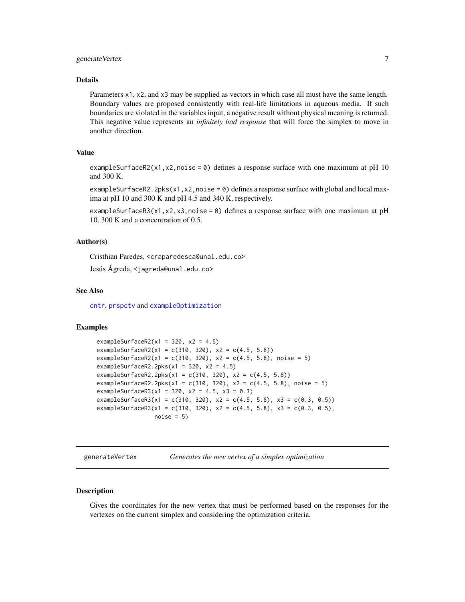# <span id="page-6-0"></span>generate Vertex 7

#### Details

Parameters x1, x2, and x3 may be supplied as vectors in which case all must have the same length. Boundary values are proposed consistently with real-life limitations in aqueous media. If such boundaries are violated in the variables input, a negative result without physical meaning is returned. This negative value represents an *infinitely bad response* that will force the simplex to move in another direction.

# Value

exampleSurfaceR2(x1,x2,noise = 0) defines a response surface with one maximum at pH 10 and 300 K.

exampleSurfaceR2.2pks( $x1, x2, \text{noise} = 0$ ) defines a response surface with global and local maxima at pH 10 and 300 K and pH 4.5 and 340 K, respectively.

exampleSurfaceR3(x1,x2,x3,noise = 0) defines a response surface with one maximum at pH 10, 300 K and a concentration of 0.5.

#### Author(s)

Cristhian Paredes, <craparedesca@unal.edu.co>

Jesús Ágreda, <jagreda@unal.edu.co>

#### See Also

[cntr](#page-4-1), [prspctv](#page-14-1) and [exampleOptimization](#page-4-2)

### Examples

```
exampleSurfaceR2(x1 = 320, x2 = 4.5)
exampleSurfaceR2(x1 = c(310, 320), x2 = c(4.5, 5.8))
exampleSurfaceR2(x1 = c(310, 320), x2 = c(4.5, 5.8), noise = 5)
exampleSurfaceR2.2pks(x1 = 320, x2 = 4.5)
exampleSurfaceR2.2pks(x1 = c(310, 320), x2 = c(4.5, 5.8))
exampleSurfaceR2.2pks(x1 = c(310, 320), x2 = c(4.5, 5.8), noise = 5)
exampleSurfaceR3(x1 = 320, x2 = 4.5, x3 = 0.3)
exampleSurfaceR3(x1 = c(310, 320), x2 = c(4.5, 5.8), x3 = c(0.3, 0.5))
exampleSurfaceR3(x1 = c(310, 320), x2 = c(4.5, 5.8), x3 = c(0.3, 0.5),
                 noise = 5
```
<span id="page-6-1"></span>generateVertex *Generates the new vertex of a simplex optimization*

#### **Description**

Gives the coordinates for the new vertex that must be performed based on the responses for the vertexes on the current simplex and considering the optimization criteria.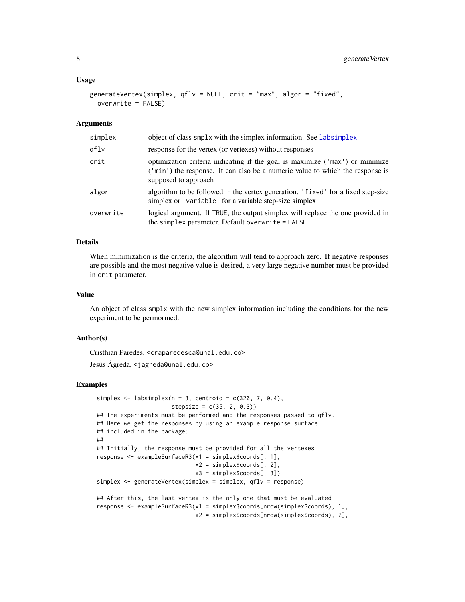#### <span id="page-7-0"></span>Usage

```
generateVertex(simplex, qflv = NULL, crit = "max", algor = "fixed",
 overwrite = FALSE)
```
#### Arguments

| simplex   | object of class smplx with the simplex information. See labsimplex                                                                                                                    |
|-----------|---------------------------------------------------------------------------------------------------------------------------------------------------------------------------------------|
| qflv      | response for the vertex (or vertexes) without responses                                                                                                                               |
| crit      | optimization criteria indicating if the goal is maximize ('max') or minimize<br>('min') the response. It can also be a numeric value to which the response is<br>supposed to approach |
| algor     | algorithm to be followed in the vertex generation. 'fixed' for a fixed step-size<br>simplex or 'variable' for a variable step-size simplex                                            |
| overwrite | logical argument. If TRUE, the output simplex will replace the one provided in<br>the simplex parameter. Default overwrite = FALSE                                                    |

# Details

When minimization is the criteria, the algorithm will tend to approach zero. If negative responses are possible and the most negative value is desired, a very large negative number must be provided in crit parameter.

#### Value

An object of class smplx with the new simplex information including the conditions for the new experiment to be permormed.

#### Author(s)

Cristhian Paredes, <craparedesca@unal.edu.co>

Jesús Ágreda, <jagreda@unal.edu.co>

```
simplex \le labsimplex(n = 3, centroid = c(320, 7, 0.4),
                      stepsize = c(35, 2, 0.3)## The experiments must be performed and the responses passed to qflv.
## Here we get the responses by using an example response surface
## included in the package:
##
## Initially, the response must be provided for all the vertexes
response <- exampleSurfaceR3(x1 = simplex$coords[, 1],
                             x2 = simplex$coords[, 2],
                             x3 = simplex$coords[, 3])
simplex <- generateVertex(simplex = simplex, qflv = response)
## After this, the last vertex is the only one that must be evaluated
response <- exampleSurfaceR3(x1 = simplex$coords[nrow(simplex$coords), 1],
                             x2 = simplex$coords[nrow(simplex$coords), 2],
```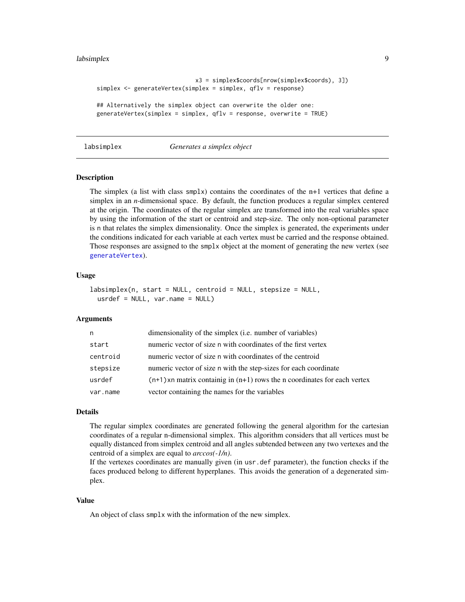#### <span id="page-8-0"></span>labsimplex **9**

```
x3 = simplex$coords[nrow(simplex$coords), 3])
simplex <- generateVertex(simplex = simplex, qflv = response)
## Alternatively the simplex object can overwrite the older one:
generateVertex(simplex = simplex, qflv = response, overwrite = TRUE)
```
#### <span id="page-8-1"></span>labsimplex *Generates a simplex object*

#### Description

The simplex (a list with class  $smplx$ ) contains the coordinates of the n+1 vertices that define a simplex in an *n*-dimensional space. By default, the function produces a regular simplex centered at the origin. The coordinates of the regular simplex are transformed into the real variables space by using the information of the start or centroid and step-size. The only non-optional parameter is n that relates the simplex dimensionality. Once the simplex is generated, the experiments under the conditions indicated for each variable at each vertex must be carried and the response obtained. Those responses are assigned to the smplx object at the moment of generating the new vertex (see [generateVertex](#page-6-1)).

### Usage

```
labsimplex(n, start = NULL, centroid = NULL, stepsize = NULL,
 usrdef = NULL, var.name = NULL)
```
# Arguments

| n        | dimensionality of the simplex (i.e. number of variables)                      |
|----------|-------------------------------------------------------------------------------|
| start    | numeric vector of size n with coordinates of the first vertex                 |
| centroid | numeric vector of size n with coordinates of the centroid                     |
| stepsize | numeric vector of size n with the step-sizes for each coordinate              |
| usrdef   | $(n+1)$ xn matrix containig in $(n+1)$ rows the n coordinates for each vertex |
| var.name | vector containing the names for the variables                                 |

#### Details

The regular simplex coordinates are generated following the general algorithm for the cartesian coordinates of a regular n-dimensional simplex. This algorithm considers that all vertices must be equally distanced from simplex centroid and all angles subtended between any two vertexes and the centroid of a simplex are equal to *arccos(-1/n)*.

If the vertexes coordinates are manually given (in usr.def parameter), the function checks if the faces produced belong to different hyperplanes. This avoids the generation of a degenerated simplex.

#### Value

An object of class smplx with the information of the new simplex.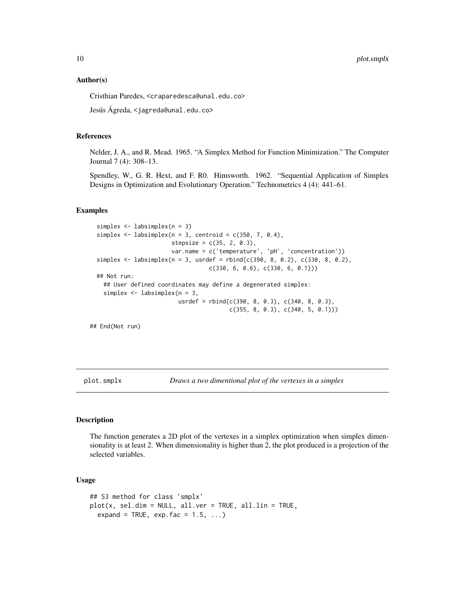<span id="page-9-0"></span>10 plot.smplx

#### Author(s)

Cristhian Paredes, <craparedesca@unal.edu.co>

Jesús Ágreda, <jagreda@unal.edu.co>

#### References

Nelder, J. A., and R. Mead. 1965. "A Simplex Method for Function Minimization." The Computer Journal 7 (4): 308–13.

Spendley, W., G. R. Hext, and F. R0. Himsworth. 1962. "Sequential Application of Simplex Designs in Optimization and Evolutionary Operation." Technometrics 4 (4): 441–61.

#### Examples

```
simplex <- labsimplex(n = 3)
simplex \le labsimplex(n = 3, centroid = c(350, 7, 0.4),
                      stepsize = c(35, 2, 0.3),
                      var.name = c('temperature', 'pH', 'concentration'))
simplex <- labsimplex(n = 3, usrdef = rbind(c(390, 8, 0.2), c(330, 8, 0.2),
                                 c(330, 6, 0.6), c(330, 6, 0.1)))
## Not run:
  ## User defined coordinates may define a degenerated simplex:
  simplex <- labsimplex(n = 3,
                        usrdef = rbind(c(390, 8, 0.3), c(340, 8, 0.3),
                                       c(355, 8, 0.3), c(340, 5, 0.1)))
```
## End(Not run)

<span id="page-9-1"></span>plot.smplx *Draws a two dimentional plot of the vertexes in a simplex*

#### Description

The function generates a 2D plot of the vertexes in a simplex optimization when simplex dimensionality is at least 2. When dimensionality is higher than 2, the plot produced is a projection of the selected variables.

# Usage

```
## S3 method for class 'smplx'
plot(x, sel.dim = NULL, all.ver = TRUE, all.lin = TRUE,
  expand = TRUE, exp. fac = 1.5, ...)
```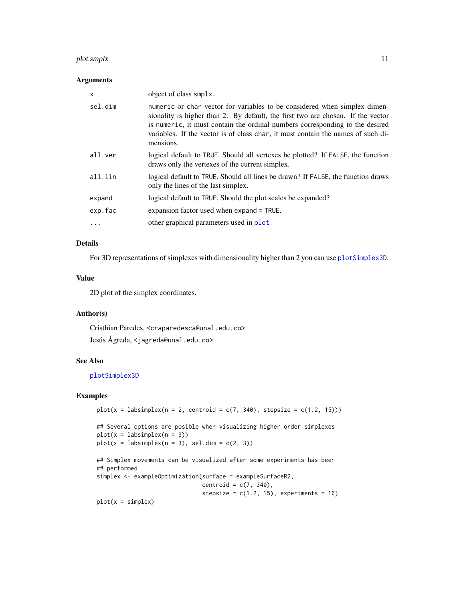# <span id="page-10-0"></span>plot.smplx 11

# Arguments

| X       | object of class smplx.                                                                                                                                                                                                                                                                                                                        |
|---------|-----------------------------------------------------------------------------------------------------------------------------------------------------------------------------------------------------------------------------------------------------------------------------------------------------------------------------------------------|
| sel.dim | numeric or char vector for variables to be considered when simplex dimen-<br>sionality is higher than 2. By default, the first two are chosen. If the vector<br>is numeric, it must contain the ordinal numbers corresponding to the desired<br>variables. If the vector is of class char, it must contain the names of such di-<br>mensions. |
| all.ver | logical default to TRUE. Should all vertexes be plotted? If FALSE, the function<br>draws only the vertexes of the current simplex.                                                                                                                                                                                                            |
| all.lin | logical default to TRUE. Should all lines be drawn? If FALSE, the function draws<br>only the lines of the last simplex.                                                                                                                                                                                                                       |
| expand  | logical default to TRUE. Should the plot scales be expanded?                                                                                                                                                                                                                                                                                  |
| exp.fac | expansion factor used when expand = TRUE.                                                                                                                                                                                                                                                                                                     |
|         | other graphical parameters used in plot                                                                                                                                                                                                                                                                                                       |
|         |                                                                                                                                                                                                                                                                                                                                               |

# Details

For 3D representations of simplexes with dimensionality higher than 2 you can use [plotSimplex3D](#page-11-1).

#### Value

2D plot of the simplex coordinates.

# Author(s)

Cristhian Paredes, <craparedesca@unal.edu.co> Jesús Ágreda, <jagreda@unal.edu.co>

# See Also

# [plotSimplex3D](#page-11-1)

#### Examples

```
plot(x = labsimplex(n = 2, centroid = c(7, 340), stepsize = c(1.2, 15)))## Several options are posible when visualizing higher order simplexes
plot(x = labsimplex(n = 3))plot(x = labsimplex(n = 3), sel.dim = c(2, 3))## Simplex movements can be visualized after some experiments has been
## performed
simplex <- exampleOptimization(surface = exampleSurfaceR2,
                              centroid = c(7, 340),
                              stepsize = c(1.2, 15), experiments = 16)
```
 $plot(x = simplex)$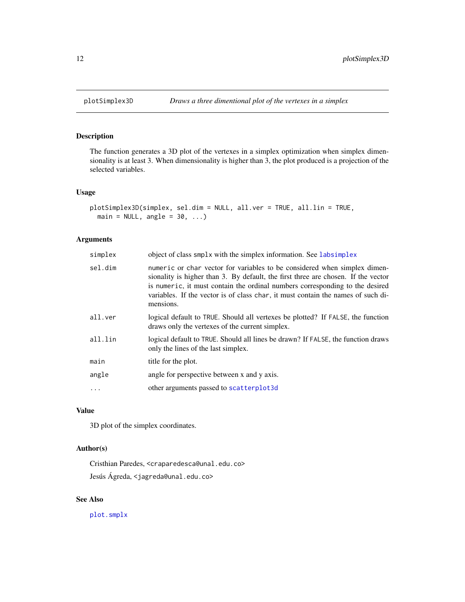The function generates a 3D plot of the vertexes in a simplex optimization when simplex dimensionality is at least 3. When dimensionality is higher than 3, the plot produced is a projection of the selected variables.

# Usage

```
plotSimplex3D(simplex, sel.dim = NULL, all.ver = TRUE, all.lin = TRUE,
 main = NULL, angle = 30, ...)
```
# Arguments

| simplex  | object of class smplx with the simplex information. See labsimplex                                                                                                                                                                                                                                                                              |
|----------|-------------------------------------------------------------------------------------------------------------------------------------------------------------------------------------------------------------------------------------------------------------------------------------------------------------------------------------------------|
| sel.dim  | numeric or char vector for variables to be considered when simplex dimen-<br>sionality is higher than 3. By default, the first three are chosen. If the vector<br>is numeric, it must contain the ordinal numbers corresponding to the desired<br>variables. If the vector is of class char, it must contain the names of such di-<br>mensions. |
| all.ver  | logical default to TRUE. Should all vertexes be plotted? If FALSE, the function<br>draws only the vertexes of the current simplex.                                                                                                                                                                                                              |
| all.lin  | logical default to TRUE. Should all lines be drawn? If FALSE, the function draws<br>only the lines of the last simplex.                                                                                                                                                                                                                         |
| main     | title for the plot.                                                                                                                                                                                                                                                                                                                             |
| angle    | angle for perspective between x and y axis.                                                                                                                                                                                                                                                                                                     |
| $\ddots$ | other arguments passed to scatterplot3d                                                                                                                                                                                                                                                                                                         |

# Value

3D plot of the simplex coordinates.

# Author(s)

Cristhian Paredes, <craparedesca@unal.edu.co> Jesús Ágreda, <jagreda@unal.edu.co>

#### See Also

[plot.smplx](#page-9-1)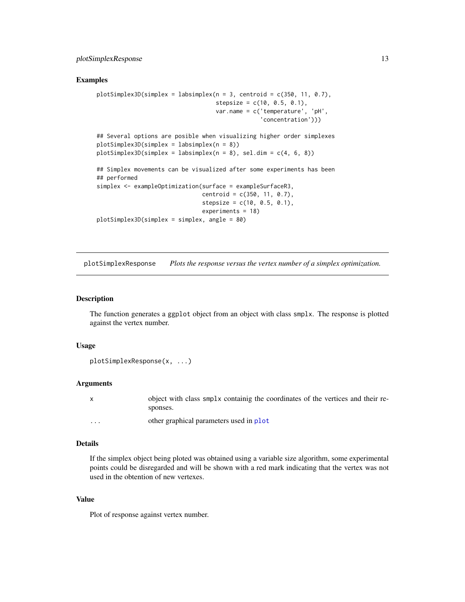#### <span id="page-12-0"></span>Examples

```
plotsimplex3D(simplex = labsimplex(n = 3, centroid = c(350, 11, 0.7),stepsize = c(10, 0.5, 0.1),
                                   var.name = c('temperature', 'pH',
                                                'concentration')))
## Several options are posible when visualizing higher order simplexes
plotSimplex3D(simplex = labsimplex(n = 8))
plotsimplex3D(simplex = labsimplex(n = 8), sel.dim = c(4, 6, 8))## Simplex movements can be visualized after some experiments has been
## performed
simplex <- exampleOptimization(surface = exampleSurfaceR3,
                               centroid = c(350, 11, 0.7),
                               stepsize = c(10, 0.5, 0.1),
                               experiments = 18)
plotSimplex3D(simplex = simplex, angle = 80)
```
plotSimplexResponse *Plots the response versus the vertex number of a simplex optimization.*

#### Description

The function generates a ggplot object from an object with class smplx. The response is plotted against the vertex number.

#### Usage

```
plotSimplexResponse(x, ...)
```
#### Arguments

|         | object with class smplx containig the coordinates of the vertices and their re- |
|---------|---------------------------------------------------------------------------------|
|         | sponses.                                                                        |
| $\cdot$ | other graphical parameters used in plot                                         |

#### Details

If the simplex object being ploted was obtained using a variable size algorithm, some experimental points could be disregarded and will be shown with a red mark indicating that the vertex was not used in the obtention of new vertexes.

#### Value

Plot of response against vertex number.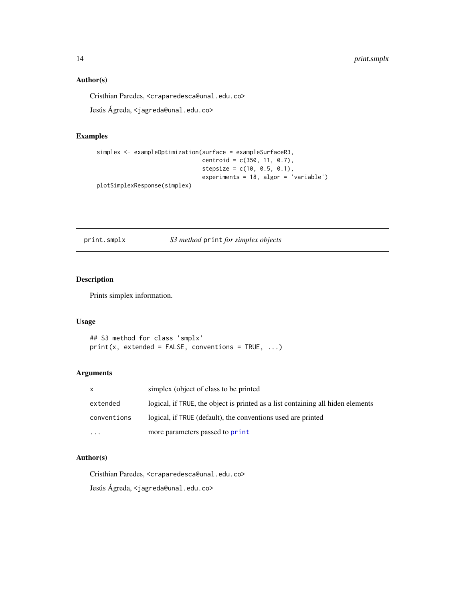# Author(s)

Cristhian Paredes, <craparedesca@unal.edu.co>

Jesús Ágreda, <jagreda@unal.edu.co>

# Examples

```
simplex <- exampleOptimization(surface = exampleSurfaceR3,
                               centroid = c(350, 11, 0.7),
                               stepsize = c(10, 0.5, 0.1),
                               experiments = 18, algor = 'variable')
plotSimplexResponse(simplex)
```
print.smplx *S3 method* print *for simplex objects*

# Description

Prints simplex information.

# Usage

## S3 method for class 'smplx'  $print(x, extended = FALSE, conventions = TRUE, ...)$ 

#### Arguments

| $\mathsf{X}$ | simplex (object of class to be printed)                                         |
|--------------|---------------------------------------------------------------------------------|
| extended     | logical, if TRUE, the object is printed as a list containing all hiden elements |
| conventions  | logical, if TRUE (default), the conventions used are printed                    |
| $\cdots$     | more parameters passed to print                                                 |

# Author(s)

Cristhian Paredes, <craparedesca@unal.edu.co>

Jesús Ágreda, <jagreda@unal.edu.co>

<span id="page-13-0"></span>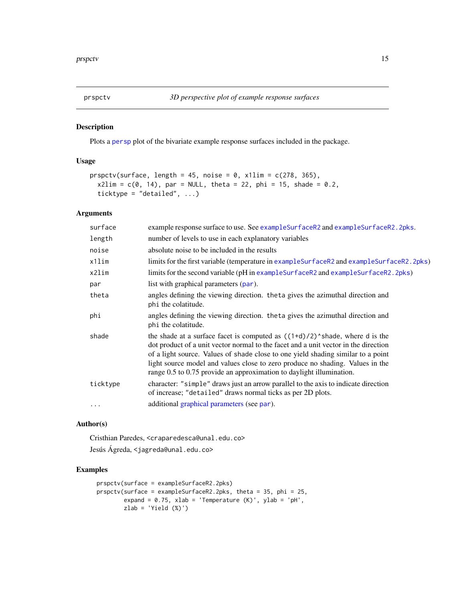<span id="page-14-1"></span><span id="page-14-0"></span>

Plots a [persp](#page-0-0) plot of the bivariate example response surfaces included in the package.

#### Usage

```
prspctv(surface, length = 45, noise = \theta, x1lim = c(278, 365),
  x2lim = c(0, 14), par = NULL, theta = 22, phi = 15, shade = 0.2,
  ticktype = "detailed", \dots)
```
# Arguments

| surface  | example response surface to use. See example SurfaceR2 and example SurfaceR2. 2pks.                                                                                                                                                                                                                                                                                                                               |
|----------|-------------------------------------------------------------------------------------------------------------------------------------------------------------------------------------------------------------------------------------------------------------------------------------------------------------------------------------------------------------------------------------------------------------------|
| length   | number of levels to use in each explanatory variables                                                                                                                                                                                                                                                                                                                                                             |
| noise    | absolute noise to be included in the results                                                                                                                                                                                                                                                                                                                                                                      |
| x1lim    | limits for the first variable (temperature in example Surface R2 and example Surface R2.2pks)                                                                                                                                                                                                                                                                                                                     |
| x2lim    | limits for the second variable (pH in example Surface R2 and example Surface R2. 2pks)                                                                                                                                                                                                                                                                                                                            |
| par      | list with graphical parameters (par).                                                                                                                                                                                                                                                                                                                                                                             |
| theta    | angles defining the viewing direction. theta gives the azimuthal direction and<br>phi the colatitude.                                                                                                                                                                                                                                                                                                             |
| phi      | angles defining the viewing direction. theta gives the azimuthal direction and<br>phi the colatitude.                                                                                                                                                                                                                                                                                                             |
| shade    | the shade at a surface facet is computed as $((1+d)/2)$ shade, where d is the<br>dot product of a unit vector normal to the facet and a unit vector in the direction<br>of a light source. Values of shade close to one yield shading similar to a point<br>light source model and values close to zero produce no shading. Values in the<br>range 0.5 to 0.75 provide an approximation to daylight illumination. |
| ticktype | character: "simple" draws just an arrow parallel to the axis to indicate direction<br>of increase; "detailed" draws normal ticks as per 2D plots.                                                                                                                                                                                                                                                                 |
| $\cdots$ | additional graphical parameters (see par).                                                                                                                                                                                                                                                                                                                                                                        |

# Author(s)

Cristhian Paredes, <craparedesca@unal.edu.co>

Jesús Ágreda, <jagreda@unal.edu.co>

```
prspctv(surface = exampleSurfaceR2.2pks)
prspctv(surface = exampleSurfaceR2.2pks, theta = 35, phi = 25,
        expand = 0.75, xlab = 'Temperature (K)', ylab = 'pH',
       zlab = 'Yield (%)')
```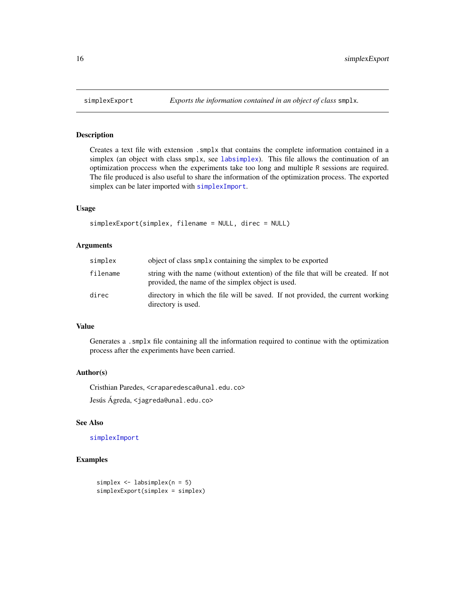<span id="page-15-1"></span><span id="page-15-0"></span>

Creates a text file with extension .smplx that contains the complete information contained in a simplex (an object with class smplx, see [labsimplex](#page-8-1)). This file allows the continuation of an optimization proccess when the experiments take too long and multiple R sessions are required. The file produced is also useful to share the information of the optimization process. The exported simplex can be later imported with [simplexImport](#page-16-1).

# Usage

```
simplexExport(simplex, filename = NULL, direc = NULL)
```
#### Arguments

| simplex  | object of class smplx containing the simplex to be exported                                                                            |
|----------|----------------------------------------------------------------------------------------------------------------------------------------|
| filename | string with the name (without extention) of the file that will be created. If not<br>provided, the name of the simplex object is used. |
| direc    | directory in which the file will be saved. If not provided, the current working<br>directory is used.                                  |

# Value

Generates a .smplx file containing all the information required to continue with the optimization process after the experiments have been carried.

# Author(s)

Cristhian Paredes, <craparedesca@unal.edu.co>

Jesús Ágreda, <jagreda@unal.edu.co>

# See Also

# [simplexImport](#page-16-1)

```
simplex <- labsimplex(n = 5)
simplexExport(simplex = simplex)
```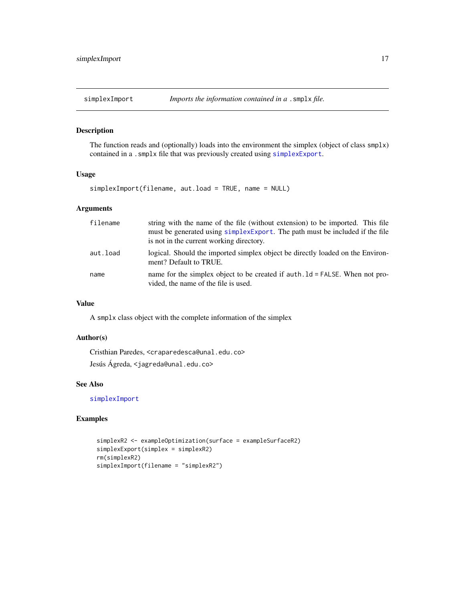<span id="page-16-1"></span><span id="page-16-0"></span>

The function reads and (optionally) loads into the environment the simplex (object of class smplx) contained in a .smplx file that was previously created using [simplexExport](#page-15-1).

#### Usage

simplexImport(filename, aut.load = TRUE, name = NULL)

# Arguments

| filename | string with the name of the file (without extension) to be imported. This file<br>must be generated using simplex Export. The path must be included if the file<br>is not in the current working directory. |
|----------|-------------------------------------------------------------------------------------------------------------------------------------------------------------------------------------------------------------|
| aut.load | logical. Should the imported simplex object be directly loaded on the Environ-<br>ment? Default to TRUE.                                                                                                    |
| name     | name for the simplex object to be created if $auth.1d = FALSE$ . When not pro-<br>vided, the name of the file is used.                                                                                      |

# Value

A smplx class object with the complete information of the simplex

# Author(s)

Cristhian Paredes, <craparedesca@unal.edu.co> Jesús Ágreda, <jagreda@unal.edu.co>

# See Also

[simplexImport](#page-16-1)

```
simplexR2 <- exampleOptimization(surface = exampleSurfaceR2)
simplexExport(simplex = simplexR2)
rm(simplexR2)
simplexImport(filename = "simplexR2")
```